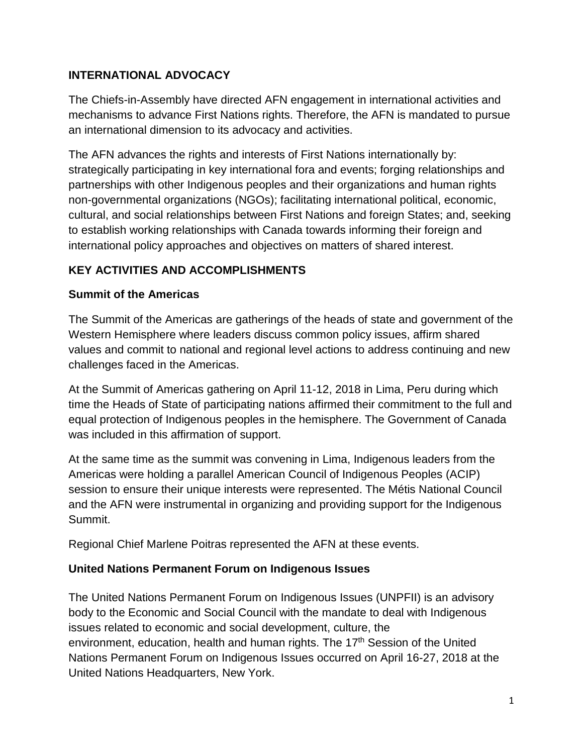# **INTERNATIONAL ADVOCACY**

The Chiefs-in-Assembly have directed AFN engagement in international activities and mechanisms to advance First Nations rights. Therefore, the AFN is mandated to pursue an international dimension to its advocacy and activities.

The AFN advances the rights and interests of First Nations internationally by: strategically participating in key international fora and events; forging relationships and partnerships with other Indigenous peoples and their organizations and human rights non-governmental organizations (NGOs); facilitating international political, economic, cultural, and social relationships between First Nations and foreign States; and, seeking to establish working relationships with Canada towards informing their foreign and international policy approaches and objectives on matters of shared interest.

# **KEY ACTIVITIES AND ACCOMPLISHMENTS**

#### **Summit of the Americas**

The Summit of the Americas are gatherings of the heads of state and government of the Western Hemisphere where leaders discuss common policy issues, affirm shared values and commit to national and regional level actions to address continuing and new challenges faced in the Americas.

At the Summit of Americas gathering on April 11-12, 2018 in Lima, Peru during which time the Heads of State of participating nations affirmed their commitment to the full and equal protection of Indigenous peoples in the hemisphere. The Government of Canada was included in this affirmation of support.

At the same time as the summit was convening in Lima, Indigenous leaders from the Americas were holding a parallel American Council of Indigenous Peoples (ACIP) session to ensure their unique interests were represented. The Métis National Council and the AFN were instrumental in organizing and providing support for the Indigenous Summit.

Regional Chief Marlene Poitras represented the AFN at these events.

# **United Nations Permanent Forum on Indigenous Issues**

The United Nations Permanent Forum on Indigenous Issues (UNPFII) is an advisory body to the Economic and Social Council with the mandate to deal with Indigenous issues related to economic and social [development,](http://www.un.org/development/desa/indigenouspeoples/mandated-areas1/economic-and-social-development.html) [culture,](http://www.un.org/development/desa/indigenouspeoples/mandated-areas1/culture.html) [the](https://www.un.org/development/desa/indigenouspeoples/mandated-areas1/environment.html) [environment,](https://www.un.org/development/desa/indigenouspeoples/mandated-areas1/environment.html) [education,](https://www.un.org/development/desa/indigenouspeoples/mandated-areas1/education.html) [health](http://www.un.org/development/desa/indigenouspeoples/mandated-areas1/health.html) and [human](http://www.un.org/development/desa/indigenouspeoples/mandated-areas1/human-rights.html) rights. The 17<sup>th</sup> Session of the United Nations Permanent Forum on Indigenous Issues occurred on April 16-27, 2018 at the United Nations Headquarters, New York.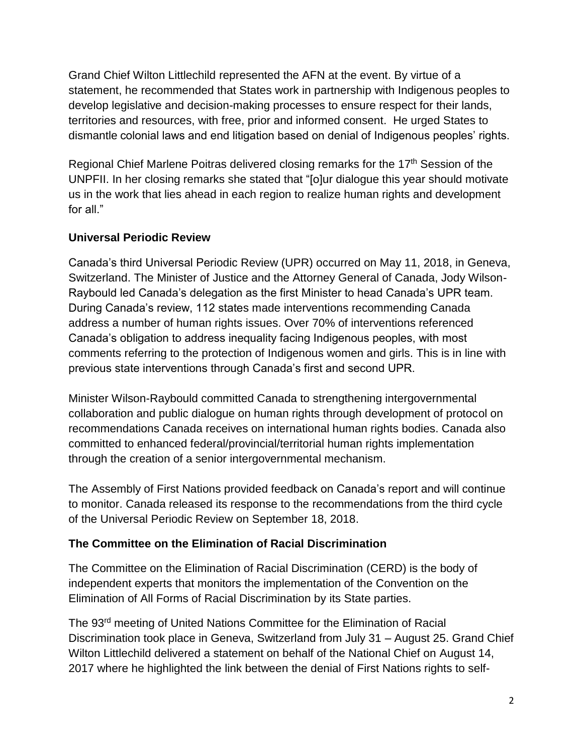Grand Chief Wilton Littlechild represented the AFN at the event. By virtue of a statement, he recommended that States work in partnership with Indigenous peoples to develop legislative and decision-making processes to ensure respect for their lands, territories and resources, with free, prior and informed consent. He urged States to dismantle colonial laws and end litigation based on denial of Indigenous peoples' rights.

Regional Chief Marlene Poitras delivered closing remarks for the 17<sup>th</sup> Session of the UNPFII. In her closing remarks she stated that "[o]ur dialogue this year should motivate us in the work that lies ahead in each region to realize human rights and development for all."

# **Universal Periodic Review**

Canada's third Universal Periodic Review (UPR) occurred on May 11, 2018, in Geneva, Switzerland. The Minister of Justice and the Attorney General of Canada, Jody Wilson-Raybould led Canada's delegation as the first Minister to head Canada's UPR team. During Canada's review, 112 states made interventions recommending Canada address a number of human rights issues. Over 70% of interventions referenced Canada's obligation to address inequality facing Indigenous peoples, with most comments referring to the protection of Indigenous women and girls. This is in line with previous state interventions through Canada's first and second UPR.

Minister Wilson-Raybould committed Canada to strengthening intergovernmental collaboration and public dialogue on human rights through development of protocol on recommendations Canada receives on international human rights bodies. Canada also committed to enhanced federal/provincial/territorial human rights implementation through the creation of a senior intergovernmental mechanism.

The Assembly of First Nations provided feedback on Canada's report and will continue to monitor. Canada released its response to the recommendations from the third cycle of the Universal Periodic Review on September 18, 2018.

#### **The Committee on the Elimination of Racial Discrimination**

The Committee on the Elimination of Racial Discrimination (CERD) is the body of independent experts that monitors the implementation of the Convention on the Elimination of All Forms of Racial Discrimination by its State parties.

The 93rd meeting of United Nations Committee for the Elimination of Racial Discrimination took place in Geneva, Switzerland from July 31 – August 25. Grand Chief Wilton Littlechild delivered a statement on behalf of the National Chief on August 14, 2017 where he highlighted the link between the denial of First Nations rights to self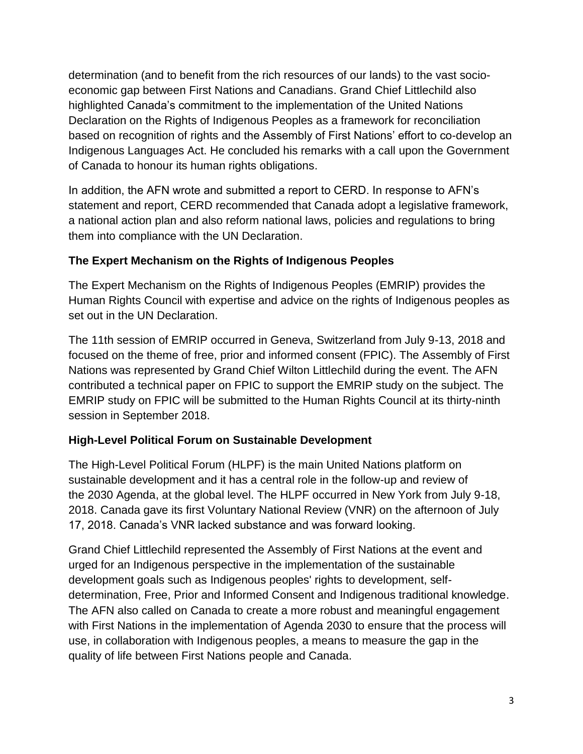determination (and to benefit from the rich resources of our lands) to the vast socioeconomic gap between First Nations and Canadians. Grand Chief Littlechild also highlighted Canada's commitment to the implementation of the United Nations Declaration on the Rights of Indigenous Peoples as a framework for reconciliation based on recognition of rights and the Assembly of First Nations' effort to co-develop an Indigenous Languages Act. He concluded his remarks with a call upon the Government of Canada to honour its human rights obligations.

In addition, the AFN wrote and submitted a report to CERD. In response to AFN's statement and report, CERD recommended that Canada adopt a legislative framework, a national action plan and also reform national laws, policies and regulations to bring them into compliance with the UN Declaration.

#### **The Expert Mechanism on the Rights of Indigenous Peoples**

The Expert Mechanism on the Rights of Indigenous Peoples (EMRIP) provides the Human Rights Council with expertise and advice on the rights of Indigenous peoples as set out in the UN Declaration.

The 11th session of EMRIP occurred in Geneva, Switzerland from July 9-13, 2018 and focused on the theme of free, prior and informed consent (FPIC). The Assembly of First Nations was represented by Grand Chief Wilton Littlechild during the event. The AFN contributed a technical paper on FPIC to support the EMRIP study on the subject. The EMRIP study on FPIC will be submitted to the Human Rights Council at its thirty-ninth session in September 2018.

# **High-Level Political Forum on Sustainable Development**

The High-Level Political Forum (HLPF) is the main United Nations platform on sustainable development and it has a central role in the follow-up and review of the [2030 Agenda,](https://sustainabledevelopment.un.org/post2015/transformingourworld) at the global level. The HLPF occurred in New York from July 9-18, 2018. Canada gave its first Voluntary National Review (VNR) on the afternoon of July 17, 2018. Canada's VNR lacked substance and was forward looking.

Grand Chief Littlechild represented the Assembly of First Nations at the event and urged for an Indigenous perspective in the implementation of the sustainable development goals such as Indigenous peoples' rights to development, selfdetermination, Free, Prior and Informed Consent and Indigenous traditional knowledge. The AFN also called on Canada to create a more robust and meaningful engagement with First Nations in the implementation of Agenda 2030 to ensure that the process will use, in collaboration with Indigenous peoples, a means to measure the gap in the quality of life between First Nations people and Canada.